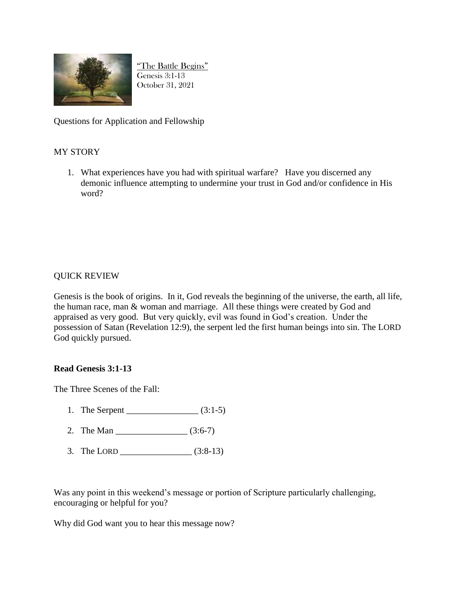

"The Battle Begins" Genesis 3:1-13 October 31, 2021

Questions for Application and Fellowship

## MY STORY

1. What experiences have you had with spiritual warfare? Have you discerned any demonic influence attempting to undermine your trust in God and/or confidence in His word?

## QUICK REVIEW

Genesis is the book of origins. In it, God reveals the beginning of the universe, the earth, all life, the human race, man & woman and marriage. All these things were created by God and appraised as very good. But very quickly, evil was found in God's creation. Under the possession of Satan (Revelation 12:9), the serpent led the first human beings into sin. The LORD God quickly pursued.

## **Read Genesis 3:1-13**

The Three Scenes of the Fall:

- 1. The Serpent \_\_\_\_\_\_\_\_\_\_\_\_\_\_\_\_ (3:1-5)
- 2. The Man \_\_\_\_\_\_\_\_\_\_\_\_\_\_\_\_ (3:6-7)
- 3. The LORD \_\_\_\_\_\_\_\_\_\_\_\_\_\_\_\_ (3:8-13)

Was any point in this weekend's message or portion of Scripture particularly challenging, encouraging or helpful for you?

Why did God want you to hear this message now?